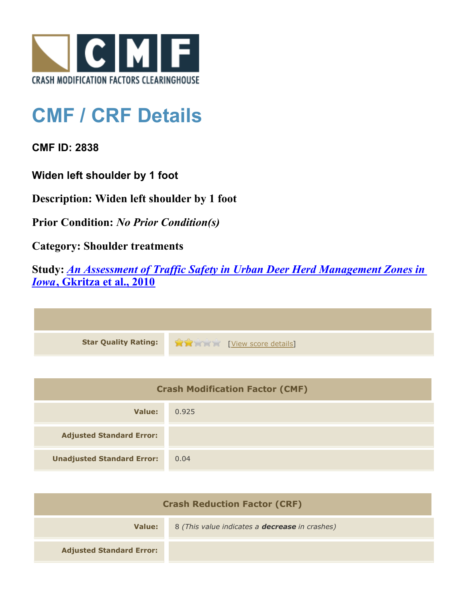

## **CMF / CRF Details**

**CMF ID: 2838**

**Widen left shoulder by 1 foot**

**Description: Widen left shoulder by 1 foot**

**Prior Condition:** *No Prior Condition(s)*

**Category: Shoulder treatments**

**Study:** *[An Assessment of Traffic Safety in Urban Deer Herd Management Zones in](http://www.cmfclearinghouse.org/study_detail.cfm?stid=190) [Iowa](http://www.cmfclearinghouse.org/study_detail.cfm?stid=190)***[, Gkritza et al., 2010](http://www.cmfclearinghouse.org/study_detail.cfm?stid=190)**



| <b>Crash Modification Factor (CMF)</b> |       |
|----------------------------------------|-------|
| Value:                                 | 0.925 |
| <b>Adjusted Standard Error:</b>        |       |
| <b>Unadjusted Standard Error:</b>      | 0.04  |

| <b>Crash Reduction Factor (CRF)</b> |                                                       |
|-------------------------------------|-------------------------------------------------------|
| Value:                              | 8 (This value indicates a <b>decrease</b> in crashes) |
| <b>Adjusted Standard Error:</b>     |                                                       |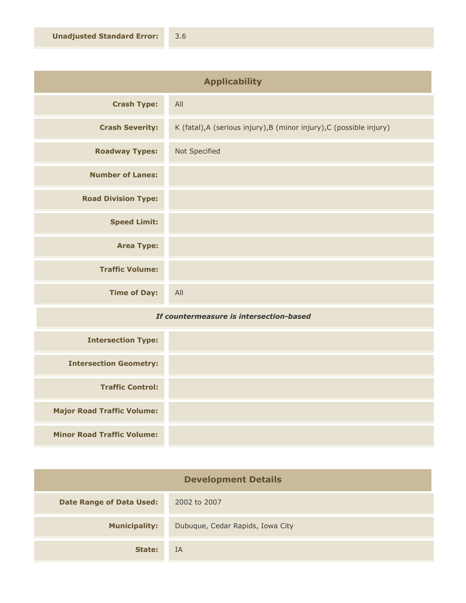| <b>Applicability</b>       |                                                                      |
|----------------------------|----------------------------------------------------------------------|
| <b>Crash Type:</b>         | All                                                                  |
| <b>Crash Severity:</b>     | K (fatal), A (serious injury), B (minor injury), C (possible injury) |
| <b>Roadway Types:</b>      | Not Specified                                                        |
| <b>Number of Lanes:</b>    |                                                                      |
| <b>Road Division Type:</b> |                                                                      |
| <b>Speed Limit:</b>        |                                                                      |
| <b>Area Type:</b>          |                                                                      |
| <b>Traffic Volume:</b>     |                                                                      |
| <b>Time of Day:</b>        | All                                                                  |

## *If countermeasure is intersection-based*

| <b>Intersection Type:</b>         |  |
|-----------------------------------|--|
| <b>Intersection Geometry:</b>     |  |
| <b>Traffic Control:</b>           |  |
| <b>Major Road Traffic Volume:</b> |  |
| <b>Minor Road Traffic Volume:</b> |  |

| <b>Development Details</b>      |                                  |
|---------------------------------|----------------------------------|
| <b>Date Range of Data Used:</b> | 2002 to 2007                     |
| <b>Municipality:</b>            | Dubuque, Cedar Rapids, Iowa City |
| State:                          | IA                               |